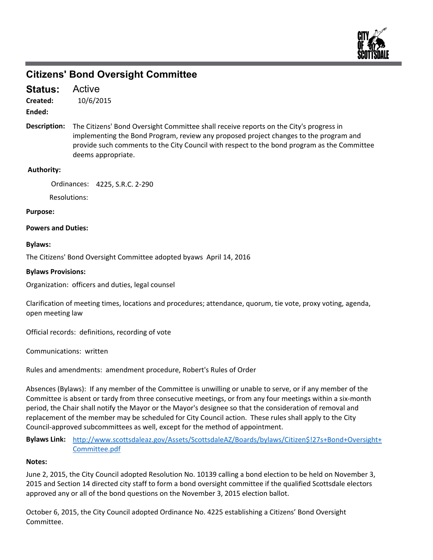

# **Citizens' Bond Oversight Committee**

Active **Status:**

10/6/2015 **Created:**

**Ended:**

Description: The Citizens' Bond Oversight Committee shall receive reports on the City's progress in implementing the Bond Program, review any proposed project changes to the program and provide such comments to the City Council with respect to the bond program as the Committee deems appropriate.

## **Authority:**

Ordinances: 4225, S.R.C. 2‐290

Resolutions:

### **Purpose:**

### **Powers and Duties:**

### **Bylaws:**

The Citizens' Bond Oversight Committee adopted byaws April 14, 2016

### **Bylaws Provisions:**

Organization: officers and duties, legal counsel

Clarification of meeting times, locations and procedures; attendance, quorum, tie vote, proxy voting, agenda, open meeting law

Official records: definitions, recording of vote

Communications: written

Rules and amendments: amendment procedure, Robert's Rules of Order

Absences (Bylaws): If any member of the Committee is unwilling or unable to serve, or if any member of the Committee is absent or tardy from three consecutive meetings, or from any four meetings within a six‐month period, the Chair shall notify the Mayor or the Mayor's designee so that the consideration of removal and replacement of the member may be scheduled for City Council action. These rules shall apply to the City Council‐approved subcommittees as well, except for the method of appointment.

**Bylaws Link:** http://www.scottsdaleaz.gov/Assets/ScottsdaleAZ/Boards/bylaws/Citizen\$!27s+Bond+Oversight+ Committee.pdf

#### **Notes:**

June 2, 2015, the City Council adopted Resolution No. 10139 calling a bond election to be held on November 3, 2015 and Section 14 directed city staff to form a bond oversight committee if the qualified Scottsdale electors approved any or all of the bond questions on the November 3, 2015 election ballot.

October 6, 2015, the City Council adopted Ordinance No. 4225 establishing a Citizens' Bond Oversight Committee.